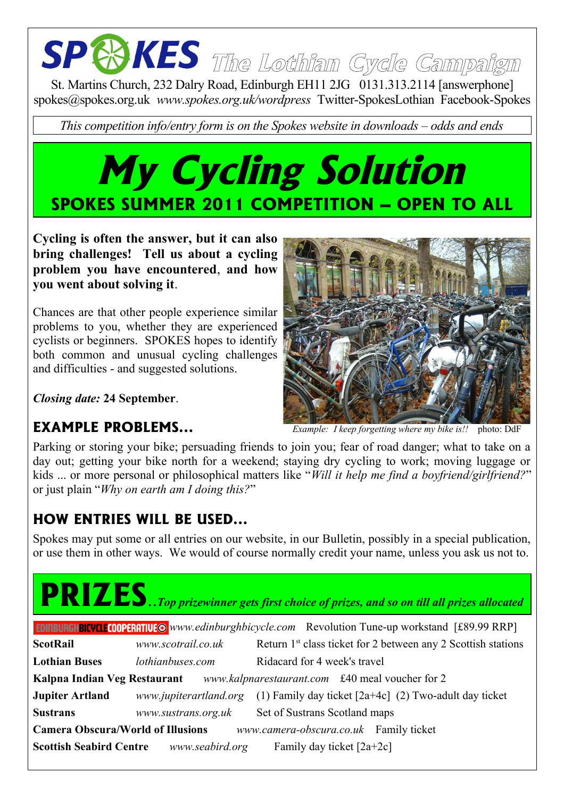# **The Lothian Cycle Campaign**

St. Martins Church, 232 Dalry Road, Edinburgh EH11 2JG 0131.313.2114 [answerphone] spokes@spokes.org.uk *www.spokes.org.uk/wordpress* Twitter-SpokesLothian Facebook-Spokes

*This competition info/entry form is on the Spokes website in downloads – odds and ends*

### **My Cycling Solution SPOKES SUMMER 2011 COMPETITION – OPEN TO ALL**

**Cycling is often the answer, but it can also bring challenges! Tell us about a cycling problem you have encountered**, **and how you went about solving it**.

Chances are that other people experience similar problems to you, whether they are experienced cyclists or beginners. SPOKES hopes to identify both common and unusual cycling challenges and difficulties - and suggested solutions.

*Closing date:* **24 September**.

#### **EXAMPLE PROBLEMS...**



Parking or storing your bike; persuading friends to join you; fear of road danger; what to take on a day out; getting your bike north for a weekend; staying dry cycling to work; moving luggage or kids ... or more personal or philosophical matters like "*Will it help me find a boyfriend/girlfriend?*" or just plain "*Why on earth am I doing this?*"

#### **HOW ENTRIES WILL BE USED...**

Spokes may put some or all entries on our website, in our Bulletin, possibly in a special publication, or use them in other ways. We would of course normally credit your name, unless you ask us not to.

## **PRIZES**..*Top prizewinner gets first choice of prizes, and so on till all prizes allocated*

| <b>EDINBURGHBICVCLECOOPERATIVE @</b> www.edinburghbicycle.com Revolution Tune-up workstand [£89.99 RRP] |                     |                                                                                 |
|---------------------------------------------------------------------------------------------------------|---------------------|---------------------------------------------------------------------------------|
| <b>ScotRail</b>                                                                                         | www.scotrail.co.uk  | Return 1 <sup>st</sup> class ticket for 2 between any 2 Scottish stations       |
| <b>Lothian Buses</b>                                                                                    | lothianbuses.com    | Ridacard for 4 week's travel                                                    |
| Kalpna Indian Veg Restaurant www.kalpnarestaurant.com £40 meal voucher for 2                            |                     |                                                                                 |
| <b>Jupiter Artland</b>                                                                                  |                     | www.jupiterartland.org (1) Family day ticket $[2a+4c]$ (2) Two-adult day ticket |
| <b>Sustrans</b>                                                                                         | www.sustrans.org.uk | Set of Sustrans Scotland maps                                                   |
| <b>Camera Obscura/World of Illusions</b><br>www.camera-obscura.co.uk Family ticket                      |                     |                                                                                 |
| <b>Scottish Seabird Centre</b>                                                                          | www.seabird.org     | Family day ticket $[2a+2c]$                                                     |